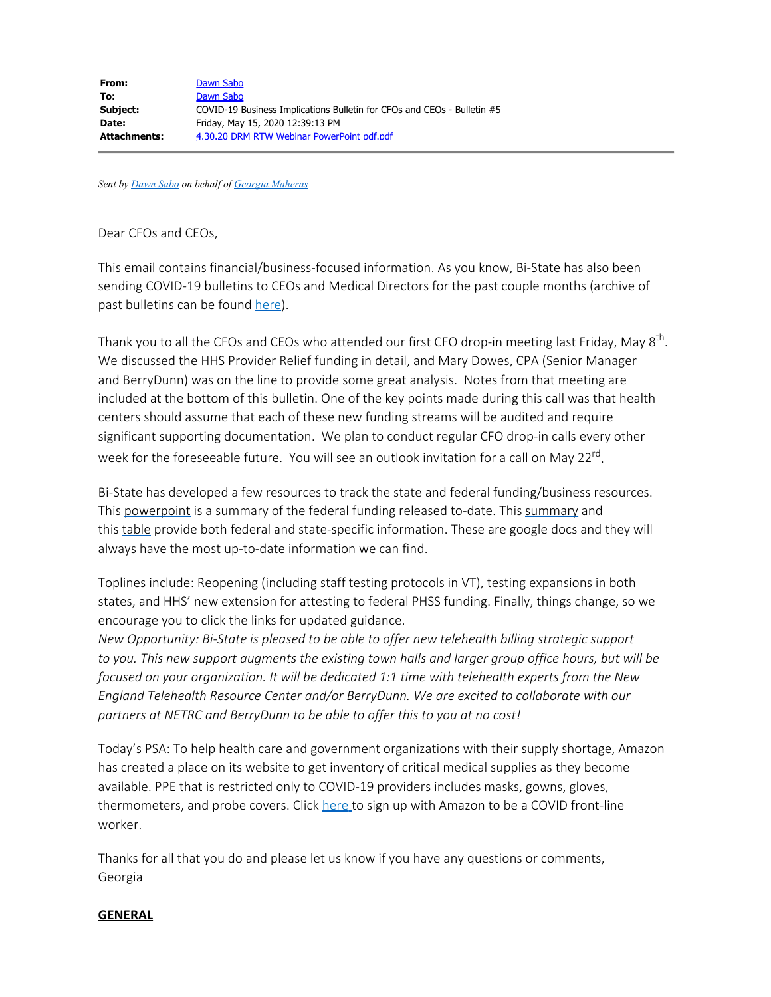*Sent by [Dawn Sabo](mailto:dsabo@bistatepca.org) on behalf of [Georgia Maheras](mailto:gmaheras@bistatepca.org)*

Dear CFOs and CEOs,

This email contains financial/business-focused information. As you know, Bi-State has also been sending COVID-19 bulletins to CEOs and Medical Directors for the past couple months (archive of past bulletins can be found [here](https://bistatepca.org/health-center-resources/covid-bulletins-resources/bi-state-covid-19-bulletins)).

Thank you to all the CFOs and CEOs who attended our first CFO drop-in meeting last Friday, May 8<sup>th</sup>. We discussed the HHS Provider Relief funding in detail, and Mary Dowes, CPA (Senior Manager and BerryDunn) was on the line to provide some great analysis. Notes from that meeting are included at the bottom of this bulletin. One of the key points made during this call was that health centers should assume that each of these new funding streams will be audited and require significant supporting documentation. We plan to conduct regular CFO drop-in calls every other week for the foreseeable future. You will see an outlook invitation for a call on May 22<sup>rd</sup>.

Bi-State has developed a few resources to track the state and federal funding/business resources. This [powerpoint](https://drive.google.com/open?id=12BZ2w0123Nl3GEu4WmoAys6Ks8SNHYNg) is a [summary](https://drive.google.com/open?id=15mc3V8Dr1baKYgds9Q11_9Qi3XOw7tix) of the federal funding released to-date. This summary and this [table](https://drive.google.com/open?id=1wmsUmXu9Jjhh1_oc9_7SZqOicvRbexke) provide both federal and state-specific information. These are google docs and they will always have the most up-to-date information we can find.

Toplines include: Reopening (including staff testing protocols in VT), testing expansions in both states, and HHS' new extension for attesting to federal PHSS funding. Finally, things change, so we encourage you to click the links for updated guidance.

*New Opportunity: Bi-State is pleased to be able to offer new telehealth billing strategic support to you. This new support augments the existing town halls and larger group office hours, but will be focused on your organization. It will be dedicated 1:1 time with telehealth experts from the New England Telehealth Resource Center and/or BerryDunn. We are excited to collaborate with our partners at NETRC and BerryDunn to be able to offer this to you at no cost!*

Today's PSA: To help health care and government organizations with their supply shortage, Amazon has created a place on its website to get inventory of critical medical supplies as they become available. PPE that is restricted only to COVID-19 providers includes masks, gowns, gloves, thermometers, and probe covers. Click [here](https://business.amazon.com/en/covid-19-access-essential-supplies?ots=1&slotNum=0&imprToken=b0b902ba-c858-277c-553&tag=theverge02-20) to sign up with Amazon to be a COVID front-line worker.

Thanks for all that you do and please let us know if you have any questions or comments, Georgia

#### **GENERAL**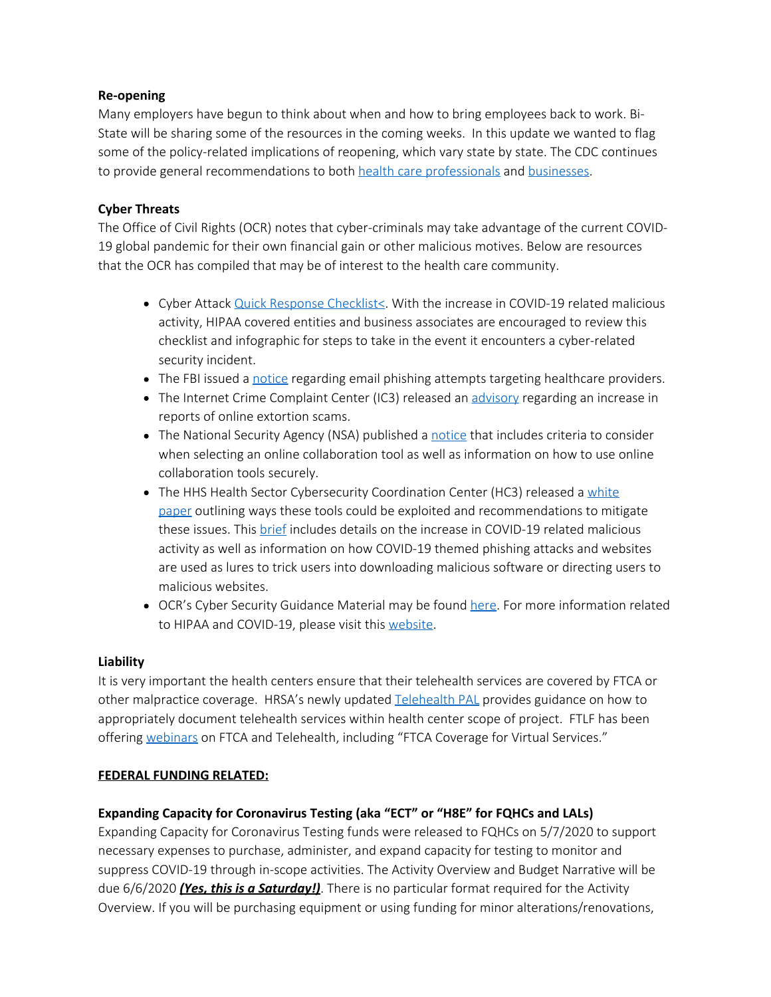## **Re-opening**

Many employers have begun to think about when and how to bring employees back to work. Bi-State will be sharing some of the resources in the coming weeks. In this update we wanted to flag some of the policy-related implications of reopening, which vary state by state. The CDC continues to provide general recommendations to both health care [professionals](https://www.cdc.gov/coronavirus/2019-nCoV/hcp/index.html) and [businesses](https://www.cdc.gov/coronavirus/2019-ncov/community/organizations/businesses-employers.html).

## **Cyber Threats**

The Office of Civil Rights (OCR) notes that cyber-criminals may take advantage of the current COVID-19 global pandemic for their own financial gain or other malicious motives. Below are resources that the OCR has compiled that may be of interest to the health care community.

- Cyber Attack Quick Response [Checklist<](https://www.hhs.gov/sites/default/files/cyber-attack-checklist-06-2017.pdf). With the increase in COVID-19 related malicious activity, HIPAA covered entities and business associates are encouraged to review this checklist and infographic for steps to take in the event it encounters a cyber-related security incident.
- The FBI issued a [notice](https://content.govdelivery.com/attachments/USDHSCIKR/2020/04/27/file_attachments/1436494/COVID_Phishing_FLASH_4.20_FINAL.pdf) regarding email phishing attempts targeting healthcare providers.
- The Internet Crime Complaint Center (IC3) released an [advisory](https://www.ic3.gov/media/2020/200420.aspx) regarding an increase in reports of online extortion scams.
- The National Security Agency (NSA) published a [notice](https://media.defense.gov/2020/Apr/24/2002288652/-1/-1/0/CSI-SELECTING-AND-USING-COLLABORATION-SERVICES-SECURELY-LONG-FINAL.PDF) that includes criteria to consider when selecting an online collaboration tool as well as information on how to use online collaboration tools securely.
- The HHS Health Sector Cybersecurity Coordination Center (HC3) released a [white](https://content.govdelivery.com/attachments/USDHSCIKR/2020/04/27/file_attachments/1436539/TLPWHITE_UNCLASSIFIED_20200402-COVID-19%20VTC%20Exploitation%20%28002%29.pdf) [paper](https://content.govdelivery.com/attachments/USDHSCIKR/2020/04/27/file_attachments/1436539/TLPWHITE_UNCLASSIFIED_20200402-COVID-19%20VTC%20Exploitation%20%28002%29.pdf) outlining ways these tools could be exploited and recommendations to mitigate these issues. This [brief](https://content.govdelivery.com/attachments/USDHSCIKR/2020/04/27/file_attachments/1436438/TLP_WHITE_UNCLASSIFIED_20200423-COVID-19_Cyber_Threats.pdf) includes details on the increase in COVID-19 related malicious activity as well as information on how COVID-19 themed phishing attacks and websites are used as lures to trick users into downloading malicious software or directing users to malicious websites.
- OCR's Cyber Security Guidance Material may be found [here](https://www.hhs.gov/hipaa/for-professionals/security/guidance/cybersecurity/index.html). For more information related to HIPAA and COVID-19, please visit this [website](https://www.hhs.gov/hipaa/for-professionals/special-topics/hipaa-covid19/index.html).

#### **Liability**

It is very important the health centers ensure that their telehealth services are covered by FTCA or other malpractice coverage. HRSA's newly updated **[Telehealth](https://bphc.hrsa.gov/sites/default/files/bphc/programrequirements/pdf/telehealth-pal.pdf) PAL** provides guidance on how to appropriately document telehealth services within health center scope of project. FTLF has been offering [webinars](https://learning.ftlf.com/regulatory-payment-issues/content/series-navigating-telehealth-fqhcs-during-covid-19#group-tabs-node-course-default2) on FTCA and Telehealth, including "FTCA Coverage for Virtual Services."

#### **FEDERAL FUNDING RELATED:**

## **Expanding Capacity for Coronavirus Testing (aka "ECT" or "H8E" for FQHCs and LALs)**

Expanding Capacity for Coronavirus Testing funds were released to FQHCs on 5/7/2020 to support necessary expenses to purchase, administer, and expand capacity for testing to monitor and suppress COVID-19 through in-scope activities. The Activity Overview and Budget Narrative will be due 6/6/2020 *(Yes, this is a Saturday!)*. There is no particular format required for the Activity Overview. If you will be purchasing equipment or using funding for minor alterations/renovations,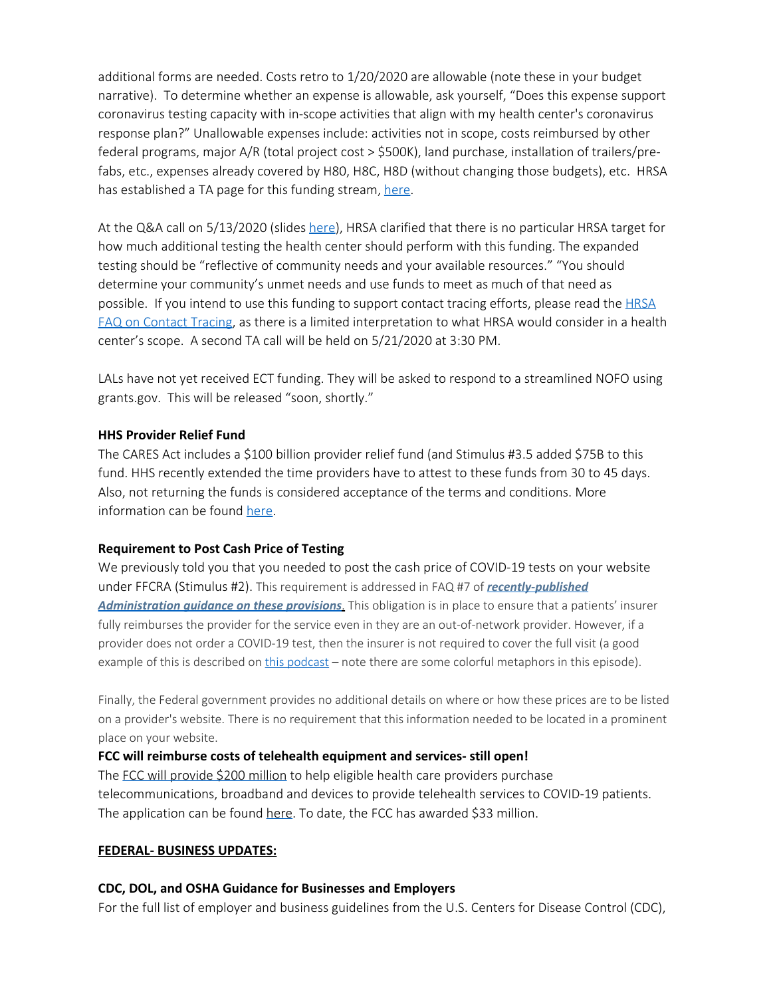additional forms are needed. Costs retro to 1/20/2020 are allowable (note these in your budget narrative). To determine whether an expense is allowable, ask yourself, "Does this expense support coronavirus testing capacity with in-scope activities that align with my health center's coronavirus response plan?" Unallowable expenses include: activities not in scope, costs reimbursed by other federal programs, major A/R (total project cost > \$500K), land purchase, installation of trailers/prefabs, etc., expenses already covered by H80, H8C, H8D (without changing those budgets), etc. HRSA has established a TA page for this funding stream, [here](https://bphc.hrsa.gov/program-opportunities/expanding-capacity-coronavirus-testing-supplemental-funding).

At the Q&A call on 5/13/2020 (slides [here](https://bphc.hrsa.gov/sites/default/files/bphc/programopportunities/pdf/ect-external-covid-19-q-a.pdf)), HRSA clarified that there is no particular HRSA target for how much additional testing the health center should perform with this funding. The expanded testing should be "reflective of community needs and your available resources." "You should determine your community's unmet needs and use funds to meet as much of that need as possible. If you intend to use this funding to support contact tracing efforts, please read the [HRSA](https://bphc.hrsa.gov/emergency-response/coronavirus-frequently-asked-questions.html?field_faq_category_tid=All&combine=tracing) FAQ on [Contact](https://bphc.hrsa.gov/emergency-response/coronavirus-frequently-asked-questions.html?field_faq_category_tid=All&combine=tracing) Tracing, as there is a limited interpretation to what HRSA would consider in a health center's scope. A second TA call will be held on 5/21/2020 at 3:30 PM.

LALs have not yet received ECT funding. They will be asked to respond to a streamlined NOFO using grants.gov. This will be released "soon, shortly."

#### **HHS Provider Relief Fund**

The CARES Act includes a \$100 billion provider relief fund (and Stimulus #3.5 added \$75B to this fund. HHS recently extended the time providers have to attest to these funds from 30 to 45 days. Also, not returning the funds is considered acceptance of the terms and conditions. More information can be found [here](https://www.hhs.gov/about/news/2020/05/07/hhs-extends-deadline-attestation-acceptance-terms-and-conditions-provider-relief-fund-payments-45-days.html).

#### **Requirement to Post Cash Price of Testing**

We previously told you that you needed to post the cash price of COVID-19 tests on your website under FFCRA (Stimulus #2). This requirement is addressed in FAQ #7 of *[recently-published](https://www.cms.gov/files/document/FFCRA-Part-42-FAQs.pdf) [Administration guidance on these provisions](https://www.cms.gov/files/document/FFCRA-Part-42-FAQs.pdf)*. This obligation is in place to ensure that a patients' insurer fully reimburses the provider for the service even in they are an out-of-network provider. However, if a provider does not order a COVID-19 test, then the insurer is not required to cover the full visit (a good example of this is described on this [podcast](https://armandalegshow.com/episode/covid-tests-are-free-except-when-theyre-not/) – note there are some colorful metaphors in this episode).

Finally, the Federal government provides no additional details on where or how these prices are to be listed on a provider's website. There is no requirement that this information needed to be located in a prominent place on your website.

#### **FCC will reimburse costs of telehealth equipment and services- still open!**

The FCC will [provide](https://docs.fcc.gov/public/attachments/DOC-363381A1.pdf) \$200 million to help eligible health care providers purchase telecommunications, broadband and devices to provide telehealth services to COVID-19 patients. The application can be found [here](https://www.fcc.gov/covid-19-telehealth-program). To date, the FCC has awarded \$33 million.

#### **FEDERAL- BUSINESS UPDATES:**

#### **CDC, DOL, and OSHA Guidance for Businesses and Employers**

For the full list of employer and business guidelines from the U.S. Centers for Disease Control (CDC),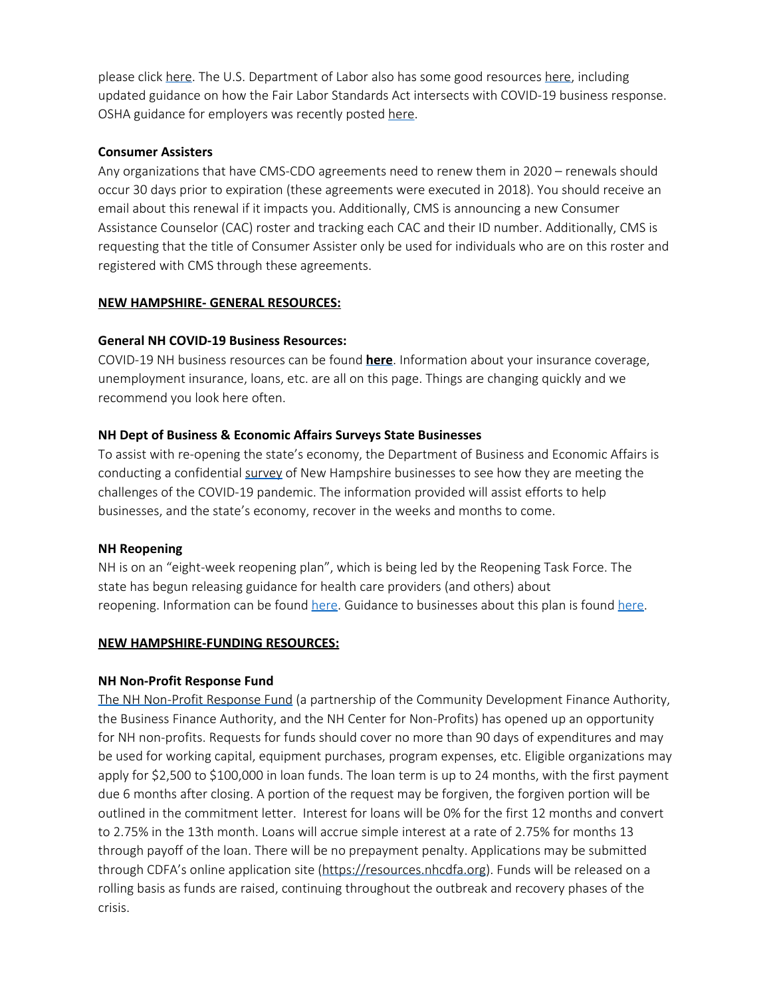please click [here](https://www.cdc.gov/coronavirus/2019-ncov/specific-groups/guidance-business-response.html). The U.S. Department of Labor also has some good resources [here](https://www.dol.gov/coronavirus), including updated guidance on how the Fair Labor Standards Act intersects with COVID-19 business response. OSHA guidance for employers was recently posted [here](https://www.osha.gov/Publications/OSHA3990.pdf).

### **Consumer Assisters**

Any organizations that have CMS-CDO agreements need to renew them in 2020 – renewals should occur 30 days prior to expiration (these agreements were executed in 2018). You should receive an email about this renewal if it impacts you. Additionally, CMS is announcing a new Consumer Assistance Counselor (CAC) roster and tracking each CAC and their ID number. Additionally, CMS is requesting that the title of Consumer Assister only be used for individuals who are on this roster and registered with CMS through these agreements.

## **NEW HAMPSHIRE- GENERAL RESOURCES:**

### **General NH COVID-19 Business Resources:**

COVID-19 NH business resources can be found **[here](https://www.nheconomy.com/covid19)**. Information about your insurance coverage, unemployment insurance, loans, etc. are all on this page. Things are changing quickly and we recommend you look here often.

### **NH Dept of Business & Economic Affairs Surveys State Businesses**

To assist with re-opening the state's economy, the Department of Business and Economic Affairs is conducting a confidential [survey](https://www.nheconomy.com/survey) of New Hampshire businesses to see how they are meeting the challenges of the COVID-19 pandemic. The information provided will assist efforts to help businesses, and the state's economy, recover in the weeks and months to come.

#### **NH Reopening**

NH is on an "eight-week reopening plan", which is being led by the Reopening Task Force. The state has begun releasing guidance for health care providers (and others) about reopening. Information can be found [here](https://www.nheconomy.com/reopeningtaskforce). Guidance to businesses about this plan is found [here](https://www.covidguidance.nh.gov/).

## **NEW HAMPSHIRE-FUNDING RESOURCES:**

#### **NH Non-Profit Response Fund**

The NH [Non-Profit](https://resources.nhcdfa.org/programs/nh-nonprofit-response-fund/) Response Fund (a partnership of the Community Development Finance Authority, the Business Finance Authority, and the NH Center for Non-Profits) has opened up an opportunity for NH non-profits. Requests for funds should cover no more than 90 days of expenditures and may be used for working capital, equipment purchases, program expenses, etc. Eligible organizations may apply for \$2,500 to \$100,000 in loan funds. The loan term is up to 24 months, with the first payment due 6 months after closing. A portion of the request may be forgiven, the forgiven portion will be outlined in the commitment letter. Interest for loans will be 0% for the first 12 months and convert to 2.75% in the 13th month. Loans will accrue simple interest at a rate of 2.75% for months 13 through payoff of the loan. There will be no prepayment penalty. Applications may be submitted through CDFA's online application site ([https://resources.nhcdfa.org\)](https://resources.nhcdfa.org/). Funds will be released on a rolling basis as funds are raised, continuing throughout the outbreak and recovery phases of the crisis.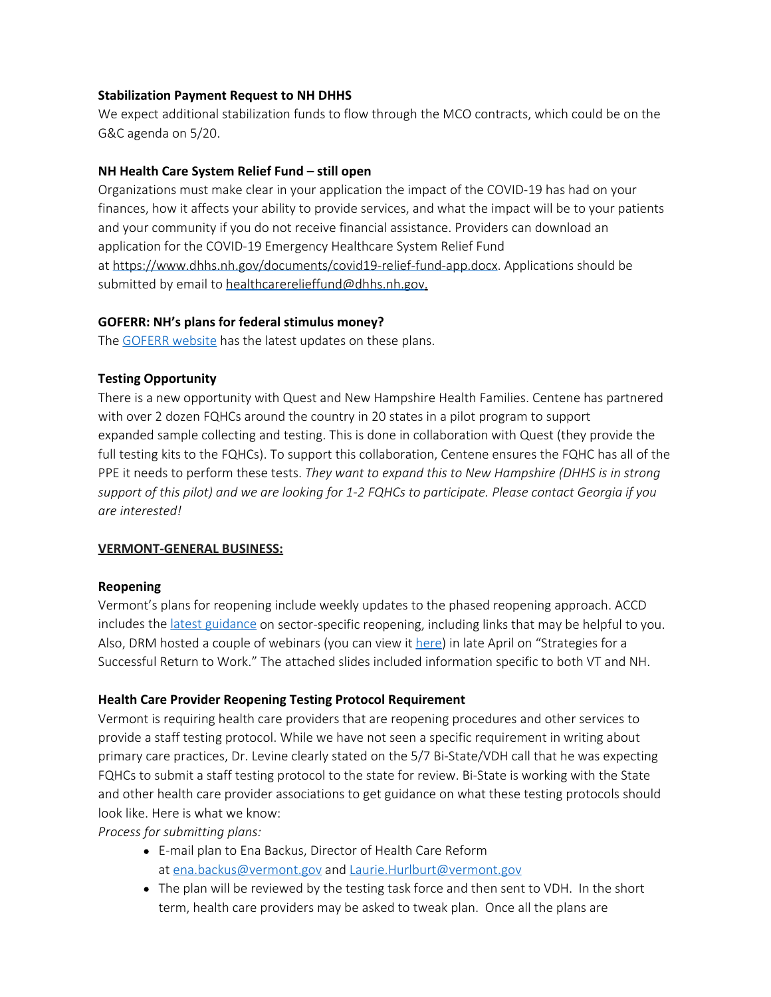### **Stabilization Payment Request to NH DHHS**

We expect additional stabilization funds to flow through the MCO contracts, which could be on the G&C agenda on 5/20.

## **NH Health Care System Relief Fund – still open**

Organizations must make clear in your application the impact of the COVID-19 has had on your finances, how it affects your ability to provide services, and what the impact will be to your patients and your community if you do not receive financial assistance. Providers can download an application for the COVID-19 Emergency Healthcare System Relief Fund at<https://www.dhhs.nh.gov/documents/covid19-relief-fund-app.docx>. Applications should be submitted by email to [healthcarerelieffund@dhhs.nh.gov](mailto:healthcarerelieffund@dhhs.nh.gov).

### **GOFERR: NH's plans for federal stimulus money?**

The [GOFERR](https://www.goferr.nh.gov/) website has the latest updates on these plans.

### **Testing Opportunity**

There is a new opportunity with Quest and New Hampshire Health Families. Centene has partnered with over 2 dozen FQHCs around the country in 20 states in a pilot program to support expanded sample collecting and testing. This is done in collaboration with Quest (they provide the full testing kits to the FQHCs). To support this collaboration, Centene ensures the FQHC has all of the PPE it needs to perform these tests. *They want to expand this to New Hampshire (DHHS is in strong support of this pilot) and we are looking for 1-2 FQHCs to participate. Please contact Georgia if you are interested!*

## **VERMONT-GENERAL BUSINESS:**

#### **Reopening**

Vermont's plans for reopening include weekly updates to the phased reopening approach. ACCD includes the latest [guidance](https://accd.vermont.gov/covid-19) on sector-specific reopening, including links that may be helpful to you. Also, DRM hosted a couple of webinars (you can view it [here](https://www.youtube.com/watch?v=suY3dPkmnSY&feature=youtu.be)) in late April on "Strategies for a Successful Return to Work." The attached slides included information specific to both VT and NH.

## **Health Care Provider Reopening Testing Protocol Requirement**

Vermont is requiring health care providers that are reopening procedures and other services to provide a staff testing protocol. While we have not seen a specific requirement in writing about primary care practices, Dr. Levine clearly stated on the 5/7 Bi-State/VDH call that he was expecting FQHCs to submit a staff testing protocol to the state for review. Bi-State is working with the State and other health care provider associations to get guidance on what these testing protocols should look like. Here is what we know:

*Process for submitting plans:*

- E-mail plan to Ena Backus, Director of Health Care Reform at [ena.backus@vermont.gov](mailto:ena.backus@vermont.gov) and [Laurie.Hurlburt@vermont.gov](mailto:Laurie.Hurlburt@vermont.gov)
- The plan will be reviewed by the testing task force and then sent to VDH. In the short term, health care providers may be asked to tweak plan. Once all the plans are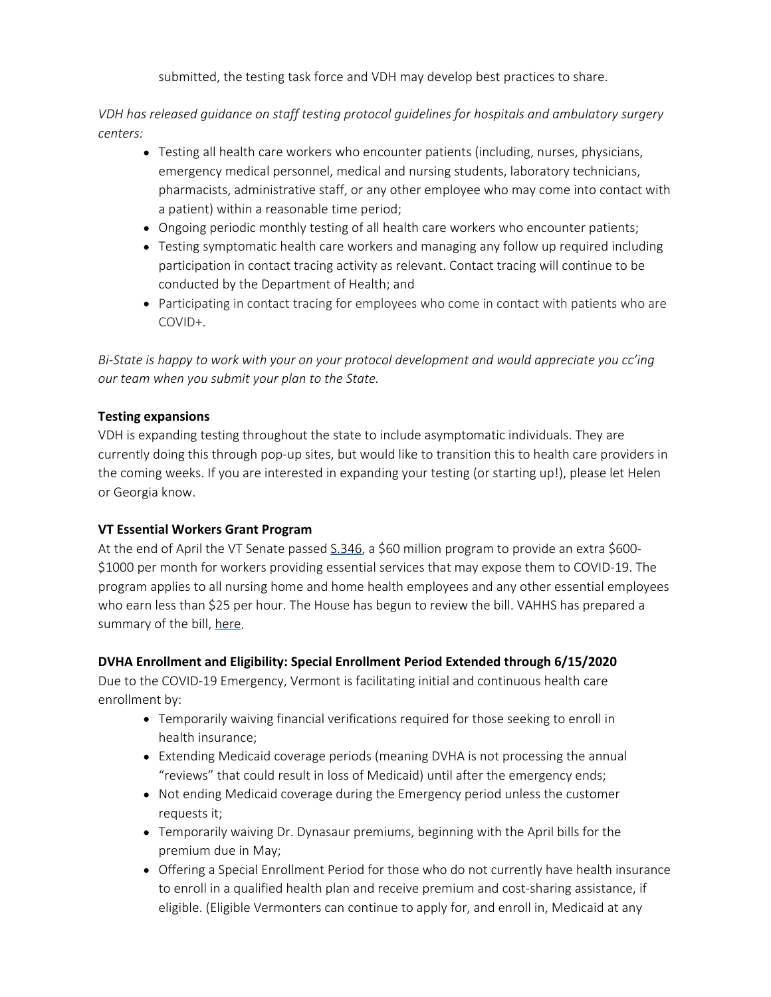submitted, the testing task force and VDH may develop best practices to share.

*VDH has released guidance on staff testing protocol guidelines for hospitals and ambulatory surgery centers:*

- Testing all health care workers who encounter patients (including, nurses, physicians, emergency medical personnel, medical and nursing students, laboratory technicians, pharmacists, administrative staff, or any other employee who may come into contact with a patient) within a reasonable time period;
- Ongoing periodic monthly testing of all health care workers who encounter patients;
- Testing symptomatic health care workers and managing any follow up required including participation in contact tracing activity as relevant. Contact tracing will continue to be conducted by the Department of Health; and
- Participating in contact tracing for employees who come in contact with patients who are COVID+.

*Bi-State is happy to work with your on your protocol development and would appreciate you cc'ing our team when you submit your plan to the State.*

### **Testing expansions**

VDH is expanding testing throughout the state to include asymptomatic individuals. They are currently doing this through pop-up sites, but would like to transition this to health care providers in the coming weeks. If you are interested in expanding your testing (or starting up!), please let Helen or Georgia know.

## **VT Essential Workers Grant Program**

At the end of April the VT Senate passed  $S.346$ , a \$60 million program to provide an extra \$600-\$1000 per month for workers providing essential services that may expose them to COVID-19. The program applies to all nursing home and home health employees and any other essential employees who earn less than \$25 per hour. The House has begun to review the bill. VAHHS has prepared a summary of the bill, [here](http://r20.rs6.net/tn.jsp?f=001JDHYm0FqCpvVeOkVUnEvkOKgEgXDfiyJjovzYHVUz7u1YJj9jCipnff6kaaLUsKuaEzGB4_dk9xJNkMA2-prI7l2ShWzHGVjbC20FziMptZnMBr9Vcv03KV0vHyJX9nc9NsCjtN9buNGw_5RIqUagLctdhtBkrOmKV6aLfkrjG589mOOq34F3TUEGlRdVdIDRt2kFduhxQkOPIzny_Y-RaivjguWUfOdFizZkr2lRo2PAjcJebYAb6SM6D-5i6pE3_HSNODQwX4=&c=FlAhYW8wxfN-ikn89G0BXswkIhCPeL8yZopwQCKuYDoLH-0lOJ721Q==&ch=gB3ll0V3xIYWmy_bqVgizaloul8YihgJoo5yG_Pc-Zk6Cy024yxl9w==).

## **DVHA Enrollment and Eligibility: Special Enrollment Period Extended through 6/15/2020**

Due to the COVID-19 Emergency, Vermont is facilitating initial and continuous health care enrollment by:

- Temporarily waiving financial verifications required for those seeking to enroll in health insurance;
- Extending Medicaid coverage periods (meaning DVHA is not processing the annual "reviews" that could result in loss of Medicaid) until after the emergency ends;
- Not ending Medicaid coverage during the Emergency period unless the customer requests it;
- Temporarily waiving Dr. Dynasaur premiums, beginning with the April bills for the premium due in May;
- Offering a Special Enrollment Period for those who do not currently have health insurance to enroll in a qualified health plan and receive premium and cost-sharing assistance, if eligible. (Eligible Vermonters can continue to apply for, and enroll in, Medicaid at any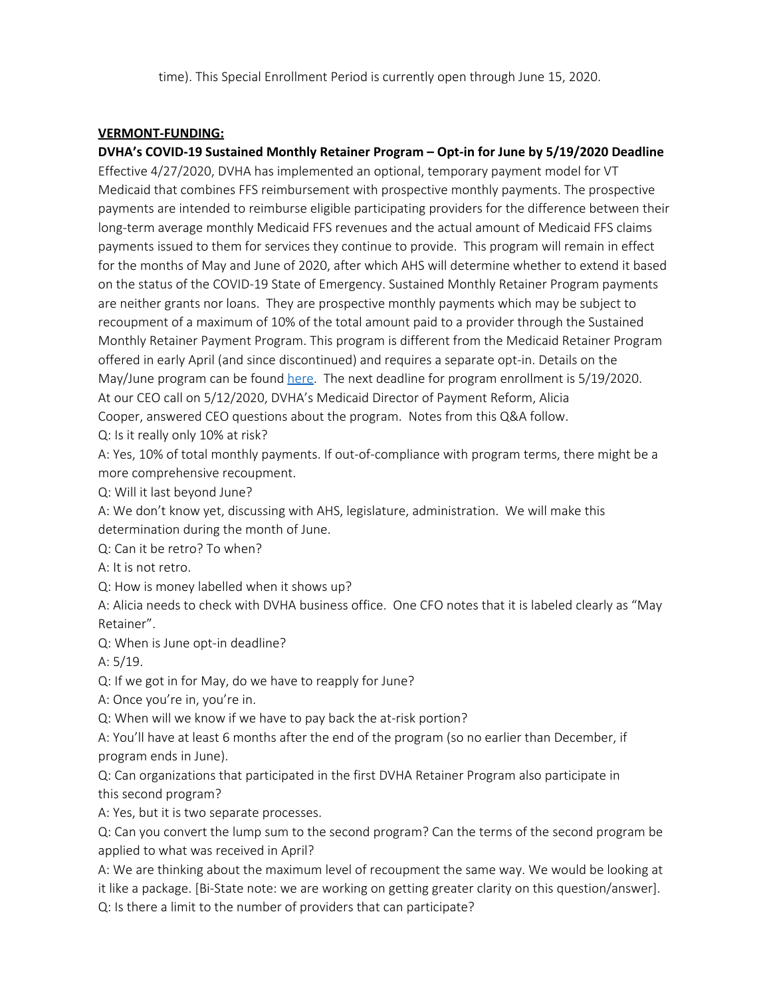time). This Special Enrollment Period is currently open through June 15, 2020.

## **VERMONT-FUNDING:**

**DVHA's COVID-19 Sustained Monthly Retainer Program – Opt-in for June by 5/19/2020 Deadline** Effective 4/27/2020, DVHA has implemented an optional, temporary payment model for VT Medicaid that combines FFS reimbursement with prospective monthly payments. The prospective payments are intended to reimburse eligible participating providers for the difference between their long-term average monthly Medicaid FFS revenues and the actual amount of Medicaid FFS claims payments issued to them for services they continue to provide. This program will remain in effect for the months of May and June of 2020, after which AHS will determine whether to extend it based on the status of the COVID-19 State of Emergency. Sustained Monthly Retainer Program payments are neither grants nor loans. They are prospective monthly payments which may be subject to recoupment of a maximum of 10% of the total amount paid to a provider through the Sustained Monthly Retainer Payment Program. This program is different from the Medicaid Retainer Program offered in early April (and since discontinued) and requires a separate opt-in. Details on the May/June program can be found [here](https://dvha.vermont.gov/sites/dvha/files/documents/News/COVID-19%20Sustained%20Monthly%20Retainer%20Payments%20FAQ%20DVHA%20FINAL.pdf). The next deadline for program enrollment is 5/19/2020. At our CEO call on 5/12/2020, DVHA's Medicaid Director of Payment Reform, Alicia Cooper, answered CEO questions about the program. Notes from this Q&A follow.

Q: Is it really only 10% at risk?

A: Yes, 10% of total monthly payments. If out-of-compliance with program terms, there might be a more comprehensive recoupment.

Q: Will it last beyond June?

A: We don't know yet, discussing with AHS, legislature, administration. We will make this determination during the month of June.

Q: Can it be retro? To when?

A: It is not retro.

Q: How is money labelled when it shows up?

A: Alicia needs to check with DVHA business office. One CFO notes that it is labeled clearly as "May Retainer".

Q: When is June opt-in deadline?

A: 5/19.

Q: If we got in for May, do we have to reapply for June?

A: Once you're in, you're in.

Q: When will we know if we have to pay back the at-risk portion?

A: You'll have at least 6 months after the end of the program (so no earlier than December, if program ends in June).

Q: Can organizations that participated in the first DVHA Retainer Program also participate in this second program?

A: Yes, but it is two separate processes.

Q: Can you convert the lump sum to the second program? Can the terms of the second program be applied to what was received in April?

A: We are thinking about the maximum level of recoupment the same way. We would be looking at it like a package. [Bi-State note: we are working on getting greater clarity on this question/answer].

Q: Is there a limit to the number of providers that can participate?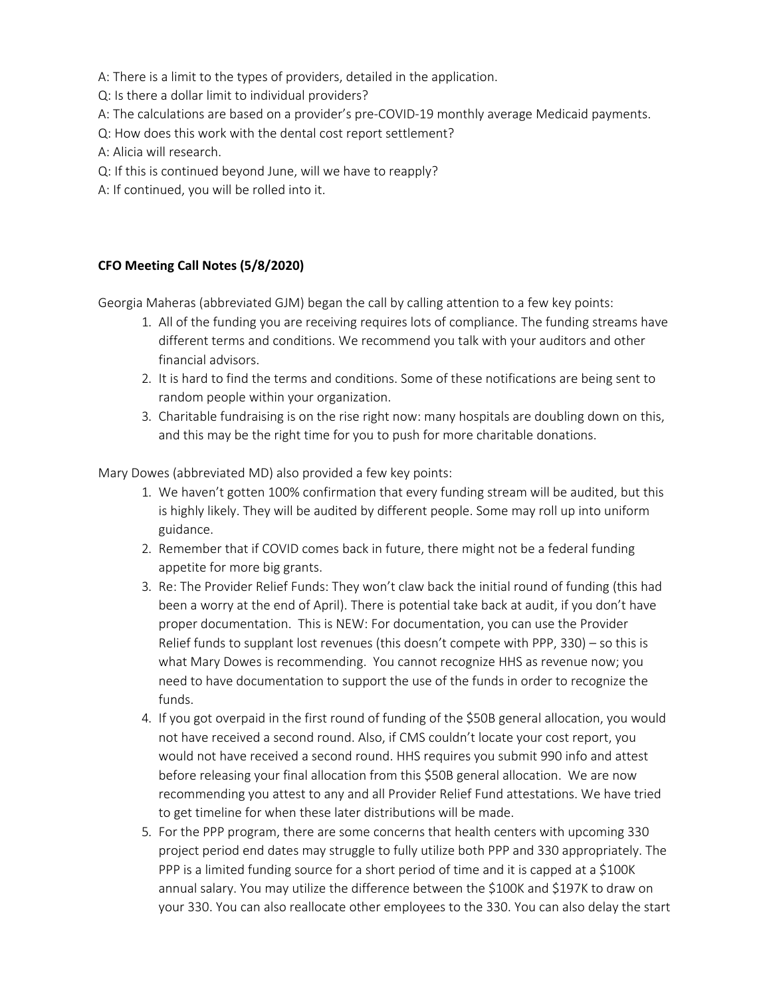A: There is a limit to the types of providers, detailed in the application.

Q: Is there a dollar limit to individual providers?

A: The calculations are based on a provider's pre-COVID-19 monthly average Medicaid payments.

Q: How does this work with the dental cost report settlement?

A: Alicia will research.

Q: If this is continued beyond June, will we have to reapply?

A: If continued, you will be rolled into it.

# **CFO Meeting Call Notes (5/8/2020)**

Georgia Maheras (abbreviated GJM) began the call by calling attention to a few key points:

- 1. All of the funding you are receiving requires lots of compliance. The funding streams have different terms and conditions. We recommend you talk with your auditors and other financial advisors.
- 2. It is hard to find the terms and conditions. Some of these notifications are being sent to random people within your organization.
- 3. Charitable fundraising is on the rise right now: many hospitals are doubling down on this, and this may be the right time for you to push for more charitable donations.

Mary Dowes (abbreviated MD) also provided a few key points:

- 1. We haven't gotten 100% confirmation that every funding stream will be audited, but this is highly likely. They will be audited by different people. Some may roll up into uniform guidance.
- 2. Remember that if COVID comes back in future, there might not be a federal funding appetite for more big grants.
- 3. Re: The Provider Relief Funds: They won't claw back the initial round of funding (this had been a worry at the end of April). There is potential take back at audit, if you don't have proper documentation. This is NEW: For documentation, you can use the Provider Relief funds to supplant lost revenues (this doesn't compete with PPP, 330) – so this is what Mary Dowes is recommending. You cannot recognize HHS as revenue now; you need to have documentation to support the use of the funds in order to recognize the funds.
- 4. If you got overpaid in the first round of funding of the \$50B general allocation, you would not have received a second round. Also, if CMS couldn't locate your cost report, you would not have received a second round. HHS requires you submit 990 info and attest before releasing your final allocation from this \$50B general allocation. We are now recommending you attest to any and all Provider Relief Fund attestations. We have tried to get timeline for when these later distributions will be made.
- 5. For the PPP program, there are some concerns that health centers with upcoming 330 project period end dates may struggle to fully utilize both PPP and 330 appropriately. The PPP is a limited funding source for a short period of time and it is capped at a \$100K annual salary. You may utilize the difference between the \$100K and \$197K to draw on your 330. You can also reallocate other employees to the 330. You can also delay the start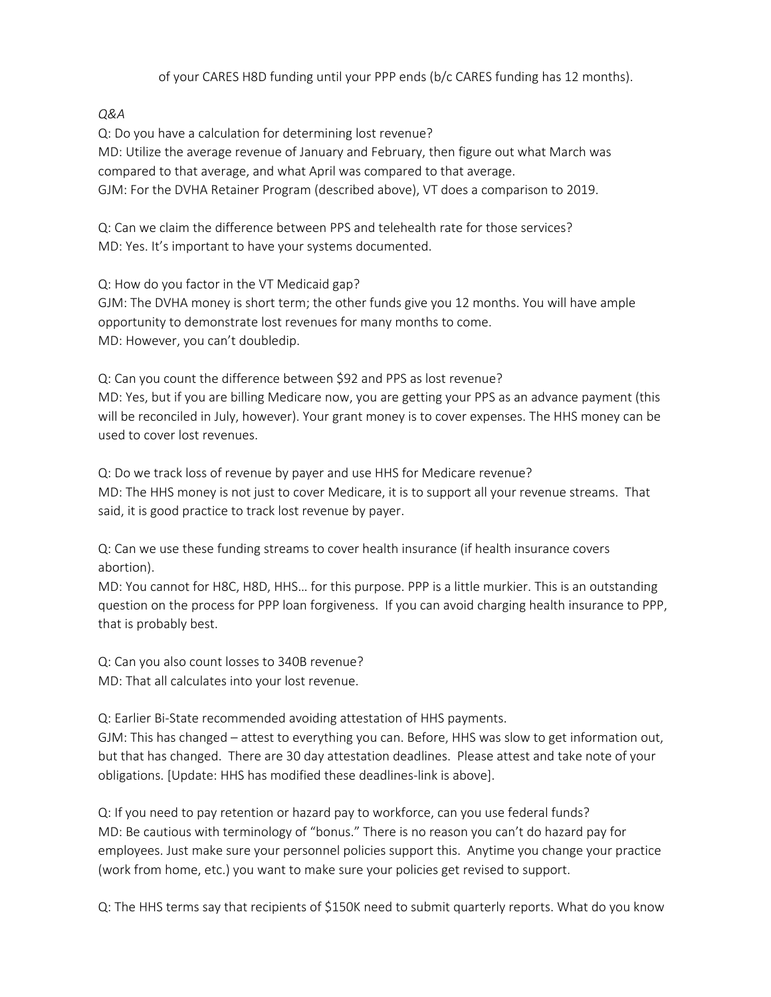# of your CARES H8D funding until your PPP ends (b/c CARES funding has 12 months).

# *Q&A*

Q: Do you have a calculation for determining lost revenue? MD: Utilize the average revenue of January and February, then figure out what March was compared to that average, and what April was compared to that average. GJM: For the DVHA Retainer Program (described above), VT does a comparison to 2019.

Q: Can we claim the difference between PPS and telehealth rate for those services? MD: Yes. It's important to have your systems documented.

Q: How do you factor in the VT Medicaid gap?

GJM: The DVHA money is short term; the other funds give you 12 months. You will have ample opportunity to demonstrate lost revenues for many months to come. MD: However, you can't doubledip.

Q: Can you count the difference between \$92 and PPS as lost revenue? MD: Yes, but if you are billing Medicare now, you are getting your PPS as an advance payment (this will be reconciled in July, however). Your grant money is to cover expenses. The HHS money can be used to cover lost revenues.

Q: Do we track loss of revenue by payer and use HHS for Medicare revenue? MD: The HHS money is not just to cover Medicare, it is to support all your revenue streams. That said, it is good practice to track lost revenue by payer.

Q: Can we use these funding streams to cover health insurance (if health insurance covers abortion).

MD: You cannot for H8C, H8D, HHS… for this purpose. PPP is a little murkier. This is an outstanding question on the process for PPP loan forgiveness. If you can avoid charging health insurance to PPP, that is probably best.

Q: Can you also count losses to 340B revenue? MD: That all calculates into your lost revenue.

Q: Earlier Bi-State recommended avoiding attestation of HHS payments.

GJM: This has changed – attest to everything you can. Before, HHS was slow to get information out, but that has changed. There are 30 day attestation deadlines. Please attest and take note of your obligations. [Update: HHS has modified these deadlines-link is above].

Q: If you need to pay retention or hazard pay to workforce, can you use federal funds? MD: Be cautious with terminology of "bonus." There is no reason you can't do hazard pay for employees. Just make sure your personnel policies support this. Anytime you change your practice (work from home, etc.) you want to make sure your policies get revised to support.

Q: The HHS terms say that recipients of \$150K need to submit quarterly reports. What do you know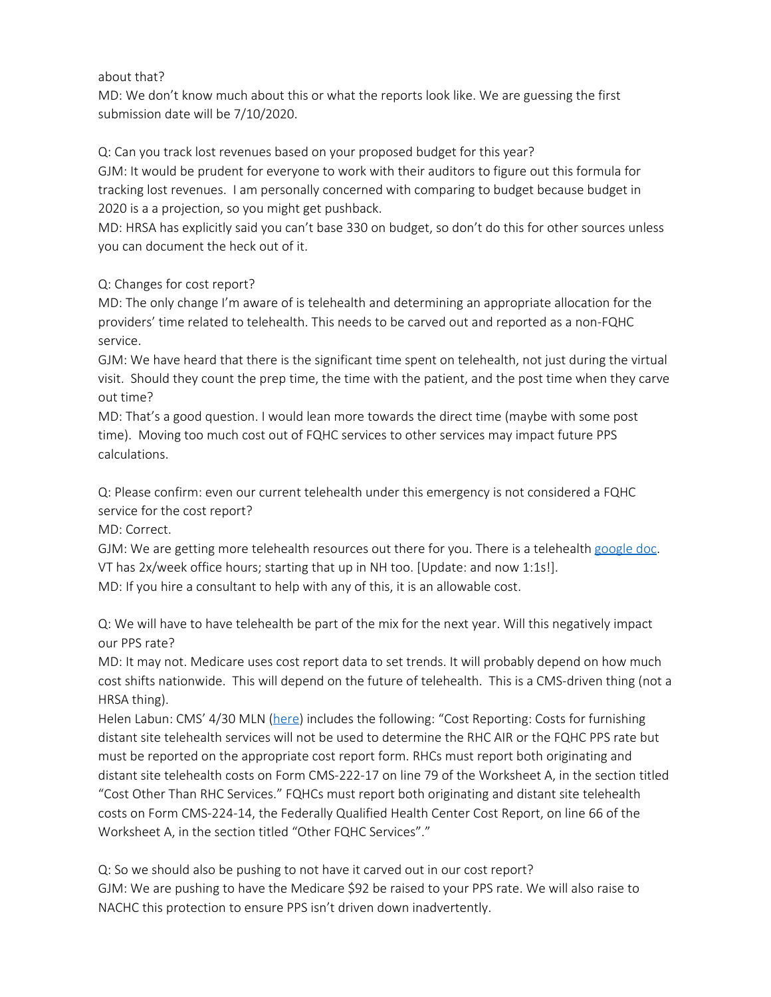## about that?

MD: We don't know much about this or what the reports look like. We are guessing the first submission date will be 7/10/2020.

Q: Can you track lost revenues based on your proposed budget for this year?

GJM: It would be prudent for everyone to work with their auditors to figure out this formula for tracking lost revenues. I am personally concerned with comparing to budget because budget in 2020 is a a projection, so you might get pushback.

MD: HRSA has explicitly said you can't base 330 on budget, so don't do this for other sources unless you can document the heck out of it.

# Q: Changes for cost report?

MD: The only change I'm aware of is telehealth and determining an appropriate allocation for the providers' time related to telehealth. This needs to be carved out and reported as a non-FQHC service.

GJM: We have heard that there is the significant time spent on telehealth, not just during the virtual visit. Should they count the prep time, the time with the patient, and the post time when they carve out time?

MD: That's a good question. I would lean more towards the direct time (maybe with some post time). Moving too much cost out of FQHC services to other services may impact future PPS calculations.

Q: Please confirm: even our current telehealth under this emergency is not considered a FQHC service for the cost report?

MD: Correct.

GJM: We are getting more telehealth resources out there for you. There is a telehealth [google](https://docs.google.com/document/d/15Y3RaKi13rOaT6rm_fbO3TSr7UIOnii-O9DHdLNn9j4/edit) doc. VT has 2x/week office hours; starting that up in NH too. [Update: and now 1:1s!]. MD: If you hire a consultant to help with any of this, it is an allowable cost.

Q: We will have to have telehealth be part of the mix for the next year. Will this negatively impact our PPS rate?

MD: It may not. Medicare uses cost report data to set trends. It will probably depend on how much cost shifts nationwide. This will depend on the future of telehealth. This is a CMS-driven thing (not a HRSA thing).

Helen Labun: CMS' 4/30 MLN ([here](https://www.cms.gov/files/document/se20016.pdf)) includes the following: "Cost Reporting: Costs for furnishing distant site telehealth services will not be used to determine the RHC AIR or the FQHC PPS rate but must be reported on the appropriate cost report form. RHCs must report both originating and distant site telehealth costs on Form CMS-222-17 on line 79 of the Worksheet A, in the section titled "Cost Other Than RHC Services." FQHCs must report both originating and distant site telehealth costs on Form CMS-224-14, the Federally Qualified Health Center Cost Report, on line 66 of the Worksheet A, in the section titled "Other FQHC Services"."

Q: So we should also be pushing to not have it carved out in our cost report? GJM: We are pushing to have the Medicare \$92 be raised to your PPS rate. We will also raise to NACHC this protection to ensure PPS isn't driven down inadvertently.